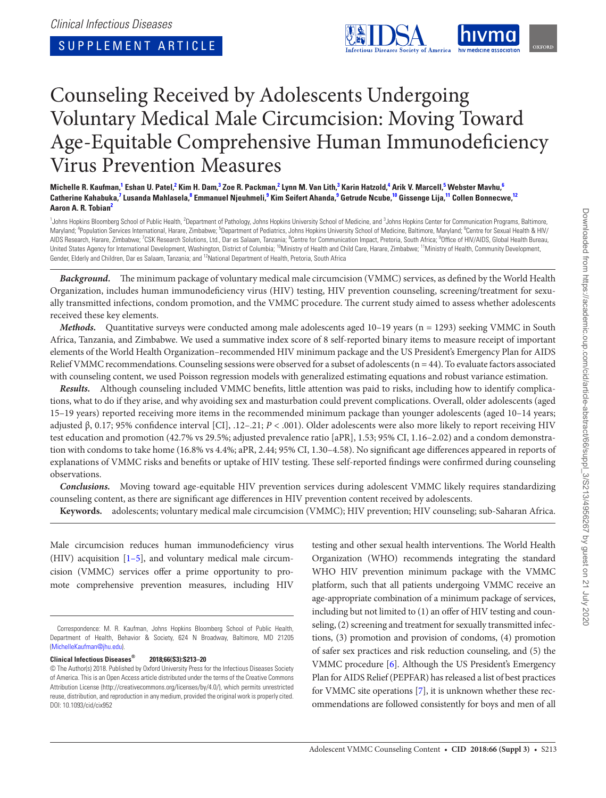

# Counseling Received by Adolescents Undergoing Voluntary Medical Male Circumcision: Moving Toward Age-Equitable Comprehensive Human Immunodeficiency Virus Prevention Measures

Michelle R. Kaufman,<sup>1</sup> Eshan U. Patel,<sup>2</sup> Kim H. Dam,<sup>3</sup> Zoe R. Packman,<sup>2</sup> Lynn M. Van Lith,<sup>3</sup> Karin Hatzold,<sup>4</sup> Arik V. Marcell,<sup>5</sup> Webster Mavhu,<sup>t</sup> Catherine Kahabuka,<sup>7</sup> Lusanda Mahlasela,<sup>8</sup> Emmanuel Njeuhmeli,<sup>9</sup> Kim Seifert Ahanda,<sup>9</sup> Getrude Ncube,<sup>10</sup> Gissenge Lija,<sup>11</sup> Collen Bonnecwe,<sup>12</sup> **Aaron A. R. Tobian<sup>2</sup>**

<sup>1</sup>Johns Hopkins Bloomberg School of Public Health, <sup>2</sup>Department of Pathology, Johns Hopkins University School of Medicine, and <sup>3</sup>Johns Hopkins Center for Communication Programs, Baltimore, Maryland; <sup>4</sup>Population Services International, Harare, Zimbabwe; <sup>5</sup>Department of Pediatrics, Johns Hopkins University School of Medicine, Baltimore, Maryland; <sup>6</sup>Centre for Sexual Health & HIV, AIDS Research, Harare, Zimbabwe; <sup>7</sup>CSK Research Solutions, Ltd., Dar es Salaam, Tanzania; <sup>8</sup>Centre for Communication Impact, Pretoria, South Africa; <sup>9</sup>Office of HIV/AIDS, Global Health Bureau, United States Agency for International Development, Washington, District of Columbia; 10Ministry of Health and Child Care, Harare, Zimbabwe; 11Ministry of Health, Community Development, Gender, Elderly and Children, Dar es Salaam, Tanzania; and <sup>12</sup>National Department of Health, Pretoria, South Africa

*Background.* The minimum package of voluntary medical male circumcision (VMMC) services, as defined by the World Health Organization, includes human immunodeficiency virus (HIV) testing, HIV prevention counseling, screening/treatment for sexually transmitted infections, condom promotion, and the VMMC procedure. The current study aimed to assess whether adolescents received these key elements.

*Methods.* Quantitative surveys were conducted among male adolescents aged 10–19 years (n = 1293) seeking VMMC in South Africa, Tanzania, and Zimbabwe. We used a summative index score of 8 self-reported binary items to measure receipt of important elements of the World Health Organization–recommended HIV minimum package and the US President's Emergency Plan for AIDS Relief VMMC recommendations. Counseling sessions were observed for a subset of adolescents (n = 44). To evaluate factors associated with counseling content, we used Poisson regression models with generalized estimating equations and robust variance estimation.

*Results.* Although counseling included VMMC benefits, little attention was paid to risks, including how to identify complications, what to do if they arise, and why avoiding sex and masturbation could prevent complications. Overall, older adolescents (aged 15–19 years) reported receiving more items in the recommended minimum package than younger adolescents (aged 10–14 years; adjusted β, 0.17; 95% confidence interval [CI], .12–.21; *P* < .001). Older adolescents were also more likely to report receiving HIV test education and promotion (42.7% vs 29.5%; adjusted prevalence ratio [aPR], 1.53; 95% CI, 1.16–2.02) and a condom demonstration with condoms to take home (16.8% vs 4.4%; aPR, 2.44; 95% CI, 1.30–4.58). No significant age differences appeared in reports of explanations of VMMC risks and benefits or uptake of HIV testing. These self-reported findings were confirmed during counseling observations.

*Conclusions.* Moving toward age-equitable HIV prevention services during adolescent VMMC likely requires standardizing counseling content, as there are significant age differences in HIV prevention content received by adolescents.

**Keywords.** adolescents; voluntary medical male circumcision (VMMC); HIV prevention; HIV counseling; sub-Saharan Africa.

Male circumcision reduces human immunodeficiency virus (HIV) acquisition [1–5], and voluntary medical male circumcision (VMMC) services offer a prime opportunity to promote comprehensive prevention measures, including HIV

## **Clinical Infectious Diseases® 2018;66(S3):S213–20**

testing and other sexual health interventions. The World Health Organization (WHO) recommends integrating the standard WHO HIV prevention minimum package with the VMMC platform, such that all patients undergoing VMMC receive an age-appropriate combination of a minimum package of services, including but not limited to (1) an offer of HIV testing and counseling, (2) screening and treatment for sexually transmitted infections, (3) promotion and provision of condoms, (4) promotion of safer sex practices and risk reduction counseling, and (5) the VMMC procedure [6]. Although the US President's Emergency Plan for AIDS Relief (PEPFAR) has released a list of best practices for VMMC site operations [7], it is unknown whether these recommendations are followed consistently for boys and men of all

Correspondence: M. R. Kaufman, Johns Hopkins Bloomberg School of Public Health, Department of Health, Behavior & Society, 624 N Broadway, Baltimore, MD 21205 (MichelleKaufman@jhu.edu).

<sup>©</sup> The Author(s) 2018. Published by Oxford University Press for the Infectious Diseases Society of America. This is an Open Access article distributed under the terms of the Creative Commons Attribution License (http://creativecommons.org/licenses/by/4.0/), which permits unrestricted reuse, distribution, and reproduction in any medium, provided the original work is properly cited. DOI: 10.1093/cid/cix952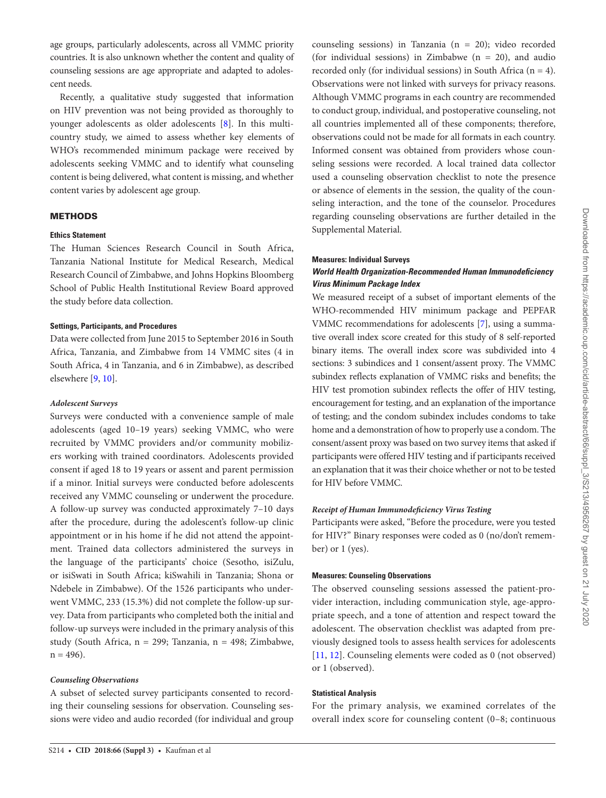age groups, particularly adolescents, across all VMMC priority countries. It is also unknown whether the content and quality of counseling sessions are age appropriate and adapted to adolescent needs.

Recently, a qualitative study suggested that information on HIV prevention was not being provided as thoroughly to younger adolescents as older adolescents [8]. In this multicountry study, we aimed to assess whether key elements of WHO's recommended minimum package were received by adolescents seeking VMMC and to identify what counseling content is being delivered, what content is missing, and whether content varies by adolescent age group.

# METHODS

# **Ethics Statement**

The Human Sciences Research Council in South Africa, Tanzania National Institute for Medical Research, Medical Research Council of Zimbabwe, and Johns Hopkins Bloomberg School of Public Health Institutional Review Board approved the study before data collection.

## **Settings, Participants, and Procedures**

Data were collected from June 2015 to September 2016 in South Africa, Tanzania, and Zimbabwe from 14 VMMC sites (4 in South Africa, 4 in Tanzania, and 6 in Zimbabwe), as described elsewhere [9, 10].

## *Adolescent Surveys*

Surveys were conducted with a convenience sample of male adolescents (aged 10–19 years) seeking VMMC, who were recruited by VMMC providers and/or community mobilizers working with trained coordinators. Adolescents provided consent if aged 18 to 19 years or assent and parent permission if a minor. Initial surveys were conducted before adolescents received any VMMC counseling or underwent the procedure. A follow-up survey was conducted approximately 7–10 days after the procedure, during the adolescent's follow-up clinic appointment or in his home if he did not attend the appointment. Trained data collectors administered the surveys in the language of the participants' choice (Sesotho, isiZulu, or isiSwati in South Africa; kiSwahili in Tanzania; Shona or Ndebele in Zimbabwe). Of the 1526 participants who underwent VMMC, 233 (15.3%) did not complete the follow-up survey. Data from participants who completed both the initial and follow-up surveys were included in the primary analysis of this study (South Africa, n = 299; Tanzania, n = 498; Zimbabwe,  $n = 496$ ).

# *Counseling Observations*

A subset of selected survey participants consented to recording their counseling sessions for observation. Counseling sessions were video and audio recorded (for individual and group counseling sessions) in Tanzania (n = 20); video recorded (for individual sessions) in Zimbabwe ( $n = 20$ ), and audio recorded only (for individual sessions) in South Africa ( $n = 4$ ). Observations were not linked with surveys for privacy reasons. Although VMMC programs in each country are recommended to conduct group, individual, and postoperative counseling, not all countries implemented all of these components; therefore, observations could not be made for all formats in each country. Informed consent was obtained from providers whose counseling sessions were recorded. A local trained data collector used a counseling observation checklist to note the presence or absence of elements in the session, the quality of the counseling interaction, and the tone of the counselor. Procedures regarding counseling observations are further detailed in the Supplemental Material.

#### **Measures: Individual Surveys**

# *World Health Organization-Recommended Human Immunodeficiency Virus Minimum Package Index*

We measured receipt of a subset of important elements of the WHO-recommended HIV minimum package and PEPFAR VMMC recommendations for adolescents [7], using a summative overall index score created for this study of 8 self-reported binary items. The overall index score was subdivided into 4 sections: 3 subindices and 1 consent/assent proxy. The VMMC subindex reflects explanation of VMMC risks and benefits; the HIV test promotion subindex reflects the offer of HIV testing, encouragement for testing, and an explanation of the importance of testing; and the condom subindex includes condoms to take home and a demonstration of how to properly use a condom. The consent/assent proxy was based on two survey items that asked if participants were offered HIV testing and if participants received an explanation that it was their choice whether or not to be tested for HIV before VMMC.

## *Receipt of Human Immunodeficiency Virus Testing*

Participants were asked, "Before the procedure, were you tested for HIV?" Binary responses were coded as 0 (no/don't remember) or 1 (yes).

# **Measures: Counseling Observations**

The observed counseling sessions assessed the patient-provider interaction, including communication style, age-appropriate speech, and a tone of attention and respect toward the adolescent. The observation checklist was adapted from previously designed tools to assess health services for adolescents [11, 12]. Counseling elements were coded as 0 (not observed) or 1 (observed).

# **Statistical Analysis**

For the primary analysis, we examined correlates of the overall index score for counseling content (0–8; continuous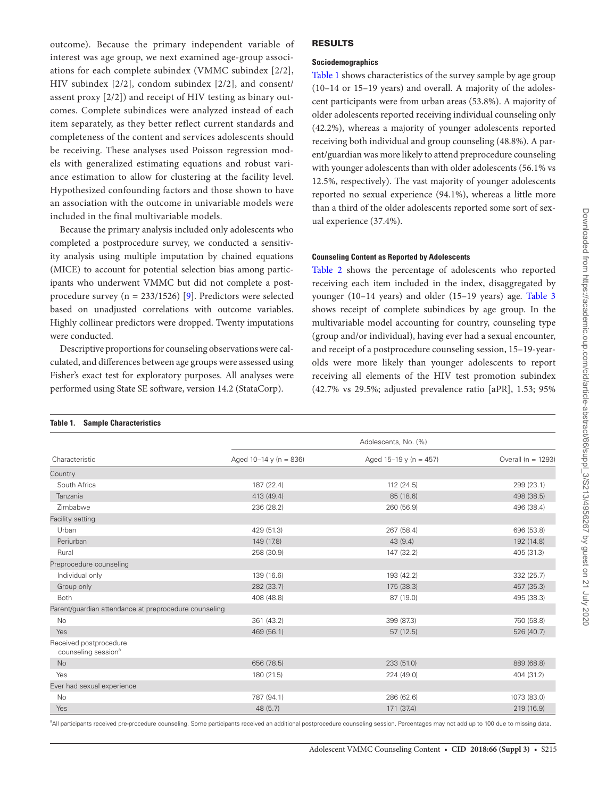outcome). Because the primary independent variable of interest was age group, we next examined age-group associations for each complete subindex (VMMC subindex [2/2], HIV subindex [2/2], condom subindex [2/2], and consent/ assent proxy [2/2]) and receipt of HIV testing as binary outcomes. Complete subindices were analyzed instead of each item separately, as they better reflect current standards and completeness of the content and services adolescents should be receiving. These analyses used Poisson regression models with generalized estimating equations and robust variance estimation to allow for clustering at the facility level. Hypothesized confounding factors and those shown to have an association with the outcome in univariable models were included in the final multivariable models.

Because the primary analysis included only adolescents who completed a postprocedure survey, we conducted a sensitivity analysis using multiple imputation by chained equations (MICE) to account for potential selection bias among participants who underwent VMMC but did not complete a postprocedure survey ( $n = 233/1526$ ) [9]. Predictors were selected based on unadjusted correlations with outcome variables. Highly collinear predictors were dropped. Twenty imputations were conducted.

Descriptive proportions for counseling observations were calculated, and differences between age groups were assessed using Fisher's exact test for exploratory purposes. All analyses were performed using State SE software, version 14.2 (StataCorp).

# RESULTS

### **Sociodemographics**

Table 1 shows characteristics of the survey sample by age group (10–14 or 15–19 years) and overall. A majority of the adolescent participants were from urban areas (53.8%). A majority of older adolescents reported receiving individual counseling only (42.2%), whereas a majority of younger adolescents reported receiving both individual and group counseling (48.8%). A parent/guardian was more likely to attend preprocedure counseling with younger adolescents than with older adolescents (56.1% vs 12.5%, respectively). The vast majority of younger adolescents reported no sexual experience (94.1%), whereas a little more than a third of the older adolescents reported some sort of sexual experience (37.4%).

# **Counseling Content as Reported by Adolescents**

Table 2 shows the percentage of adolescents who reported receiving each item included in the index, disaggregated by younger (10–14 years) and older (15–19 years) age. Table 3 shows receipt of complete subindices by age group. In the multivariable model accounting for country, counseling type (group and/or individual), having ever had a sexual encounter, and receipt of a postprocedure counseling session, 15–19-yearolds were more likely than younger adolescents to report receiving all elements of the HIV test promotion subindex (42.7% vs 29.5%; adjusted prevalence ratio [aPR], 1.53; 95%

|                                                           | Adolescents, No. (%)     |                          |                      |  |  |  |
|-----------------------------------------------------------|--------------------------|--------------------------|----------------------|--|--|--|
| Characteristic                                            | Aged $10-14$ y (n = 836) | Aged $15-19$ y (n = 457) | Overall $(n = 1293)$ |  |  |  |
| Country                                                   |                          |                          |                      |  |  |  |
| South Africa                                              | 187 (22.4)               | 112 (24.5)               | 299 (23.1)           |  |  |  |
| Tanzania                                                  | 413 (49.4)               | 85 (18.6)                | 498 (38.5)           |  |  |  |
| Zimbabwe                                                  | 236 (28.2)               | 260 (56.9)               | 496 (38.4)           |  |  |  |
| Facility setting                                          |                          |                          |                      |  |  |  |
| Urban                                                     | 429 (51.3)               | 267 (58.4)               | 696 (53.8)           |  |  |  |
| Periurban                                                 | 149 (17.8)               | 43 (9.4)                 | 192 (14.8)           |  |  |  |
| Rural                                                     | 258 (30.9)               | 147 (32.2)               | 405 (31.3)           |  |  |  |
| Preprocedure counseling                                   |                          |                          |                      |  |  |  |
| Individual only                                           | 139 (16.6)               | 193 (42.2)               | 332 (25.7)           |  |  |  |
| Group only                                                | 282 (33.7)               | 175 (38.3)               | 457 (35.3)           |  |  |  |
| Both                                                      | 408 (48.8)               | 87 (19.0)                | 495 (38.3)           |  |  |  |
| Parent/quardian attendance at preprocedure counseling     |                          |                          |                      |  |  |  |
| <b>No</b>                                                 | 361 (43.2)               | 399 (87.3)               | 760 (58.8)           |  |  |  |
| Yes                                                       | 469 (56.1)               | 57(12.5)                 | 526 (40.7)           |  |  |  |
| Received postprocedure<br>counseling session <sup>a</sup> |                          |                          |                      |  |  |  |
| <b>No</b>                                                 | 656 (78.5)               | 233 (51.0)               | 889 (68.8)           |  |  |  |
| Yes                                                       | 180 (21.5)               | 224 (49.0)               | 404 (31.2)           |  |  |  |
| Ever had sexual experience                                |                          |                          |                      |  |  |  |
| <b>No</b>                                                 | 787 (94.1)               | 286 (62.6)               | 1073 (83.0)          |  |  |  |
| Yes                                                       | 48(5.7)                  | 171 (37.4)               | 219 (16.9)           |  |  |  |

<sup>a</sup>All participants received pre-procedure counseling. Some participants received an additional postprocedure counseling session. Percentages may not add up to 100 due to missing data.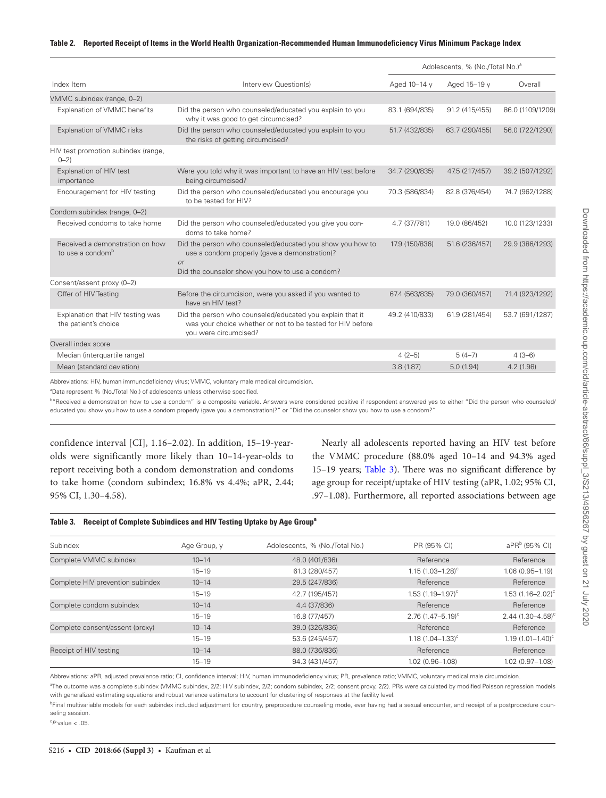## **Table 2. Reported Receipt of Items in the World Health Organization-Recommended Human Immunodeficiency Virus Minimum Package Index**

|                                                                 |                                                                                                                                                                                        | Adolescents, % (No./Total No.) <sup>8</sup> |                |                  |
|-----------------------------------------------------------------|----------------------------------------------------------------------------------------------------------------------------------------------------------------------------------------|---------------------------------------------|----------------|------------------|
| Index Item                                                      | Interview Question(s)                                                                                                                                                                  | Aged 10-14 y                                | Aged 15-19 y   | Overall          |
| VMMC subindex (range, 0-2)                                      |                                                                                                                                                                                        |                                             |                |                  |
| Explanation of VMMC benefits                                    | Did the person who counseled/educated you explain to you<br>why it was good to get circumcised?                                                                                        | 83.1 (694/835)                              | 91.2 (415/455) | 86.0 (1109/1209) |
| Explanation of VMMC risks                                       | Did the person who counseled/educated you explain to you<br>the risks of getting circumcised?                                                                                          | 51.7 (432/835)                              | 63.7 (290/455) | 56.0 (722/1290)  |
| HIV test promotion subindex (range,<br>$0 - 2)$                 |                                                                                                                                                                                        |                                             |                |                  |
| Explanation of HIV test<br>importance                           | Were you told why it was important to have an HIV test before<br>being circumcised?                                                                                                    | 34.7 (290/835)                              | 47.5 (217/457) | 39.2 (507/1292)  |
| Encouragement for HIV testing                                   | Did the person who counseled/educated you encourage you<br>to be tested for HIV?                                                                                                       | 70.3 (586/834)                              | 82.8 (376/454) | 74.7 (962/1288)  |
| Condom subindex (range, 0-2)                                    |                                                                                                                                                                                        |                                             |                |                  |
| Received condoms to take home                                   | Did the person who counseled/educated you give you con-<br>doms to take home?                                                                                                          | 4.7 (37/781)                                | 19.0 (86/452)  | 10.0 (123/1233)  |
| Received a demonstration on how<br>to use a condom <sup>b</sup> | Did the person who counseled/educated you show you how to<br>use a condom properly (gave a demonstration)?<br>$\alpha$ <sup>r</sup><br>Did the counselor show you how to use a condom? | 17.9 (150/836)                              | 51.6 (236/457) | 29.9 (386/1293)  |
| Consent/assent proxy (0-2)                                      |                                                                                                                                                                                        |                                             |                |                  |
| Offer of HIV Testing                                            | Before the circumcision, were you asked if you wanted to<br>have an HIV test?                                                                                                          | 67.4 (563/835)                              | 79.0 (360/457) | 71.4 (923/1292)  |
| Explanation that HIV testing was<br>the patient's choice        | Did the person who counseled/educated you explain that it<br>was your choice whether or not to be tested for HIV before<br>you were circumcised?                                       | 49.2 (410/833)                              | 61.9 (281/454) | 53.7 (691/1287)  |
| Overall index score                                             |                                                                                                                                                                                        |                                             |                |                  |
| Median (interguartile range)                                    |                                                                                                                                                                                        | $4(2-5)$                                    | $5(4-7)$       | $4(3-6)$         |
| Mean (standard deviation)                                       |                                                                                                                                                                                        | 3.8(1.87)                                   | 5.0(1.94)      | 4.2(1.98)        |

Abbreviations: HIV, human immunodeficiency virus; VMMC, voluntary male medical circumcision.

<sup>a</sup>Data represent % (No./Total No.) of adolescents unless otherwise specified.

b"Received a demonstration how to use a condom" is a composite variable. Answers were considered positive if respondent answered yes to either "Did the person who counseled, educated you show you how to use a condom properly (gave you a demonstration)?" or "Did the counselor show you how to use a condom?"

confidence interval [CI], 1.16–2.02). In addition, 15–19-yearolds were significantly more likely than 10–14-year-olds to report receiving both a condom demonstration and condoms to take home (condom subindex; 16.8% vs 4.4%; aPR, 2.44; 95% CI, 1.30–4.58).

Nearly all adolescents reported having an HIV test before the VMMC procedure (88.0% aged 10–14 and 94.3% aged 15–19 years; Table 3). There was no significant difference by age group for receipt/uptake of HIV testing (aPR, 1.02; 95% CI, .97–1.08). Furthermore, all reported associations between age

# **Table 3. Receipt of Complete Subindices and HIV Testing Uptake by Age Groupa**

| Subindex                         | Age Group, y | Adolescents, % (No./Total No.) | PR (95% CI)                      | aPR <sup>b</sup> (95% CI)         |
|----------------------------------|--------------|--------------------------------|----------------------------------|-----------------------------------|
| Complete VMMC subindex           | $10 - 14$    | 48.0 (401/836)                 | Reference                        | Reference                         |
|                                  | $15 - 19$    | 61.3 (280/457)                 | $1.15(1.03 - 1.28)$ <sup>c</sup> | $1.06(0.95 - 1.19)$               |
| Complete HIV prevention subindex | $10 - 14$    | 29.5 (247/836)                 | Reference                        | Reference                         |
|                                  | $15 - 19$    | 42.7 (195/457)                 | $1.53(1.19 - 1.97)^c$            | 1.53 $(1.16 - 2.02)^c$            |
| Complete condom subindex         | $10 - 14$    | 4.4 (37/836)                   | Reference                        | Reference                         |
|                                  | $15 - 19$    | 16.8 (77/457)                  | $2.76$ (1.47-5.19) <sup>c</sup>  | 2.44 $(1.30 - 4.58)$ <sup>c</sup> |
| Complete consent/assent (proxy)  | $10 - 14$    | 39.0 (326/836)                 | Reference                        | Reference                         |
|                                  | $15 - 19$    | 53.6 (245/457)                 | $1.18$ (1.04-1.33) <sup>c</sup>  | $1.19(1.01 - 1.40)$ °             |
| Receipt of HIV testing           | $10 - 14$    | 88.0 (736/836)                 | Reference                        | Reference                         |
|                                  | $15 - 19$    | 94.3 (431/457)                 | 1.02 (0.96-1.08)                 | $1.02(0.97 - 1.08)$               |

Abbreviations: aPR, adjusted prevalence ratio; CI, confidence interval; HIV, human immunodeficiency virus; PR, prevalence ratio; VMMC, voluntary medical male circumcision.

<sup>a</sup>The outcome was a complete subindex (VMMC subindex, 2/2; HIV subindex, 2/2; condom subindex, 2/2; consent proxy, 2/2). PRs were calculated by modified Poisson regression models with generalized estimating equations and robust variance estimators to account for clustering of responses at the facility level.

**bFinal multivariable models for each subindex included adjustment for country, preprocedure counseling mode, ever having had a sexual encounter, and receipt of a postprocedure coun**seling session.

 $\degree$ *P* value < .05.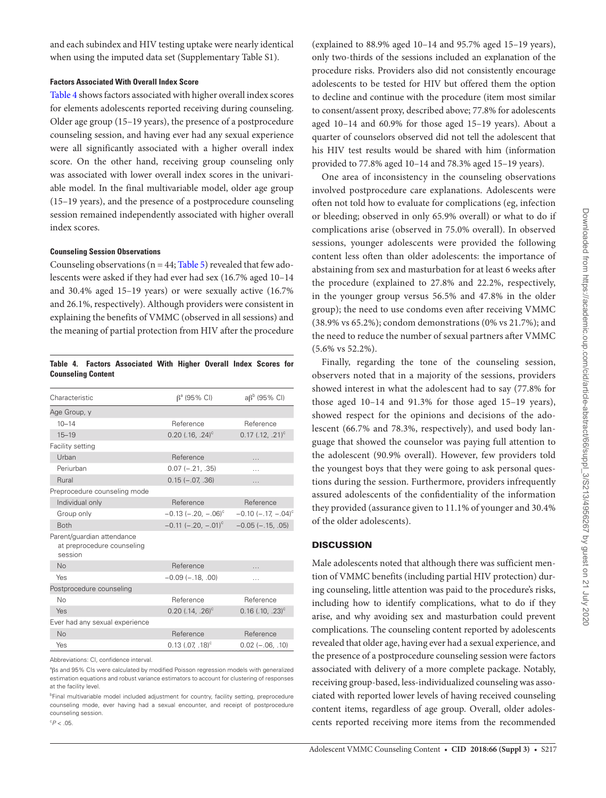and each subindex and HIV testing uptake were nearly identical when using the imputed data set (Supplementary Table S1).

# **Factors Associated With Overall Index Score**

Table 4 shows factors associated with higher overall index scores for elements adolescents reported receiving during counseling. Older age group (15–19 years), the presence of a postprocedure counseling session, and having ever had any sexual experience were all significantly associated with a higher overall index score. On the other hand, receiving group counseling only was associated with lower overall index scores in the univariable model. In the final multivariable model, older age group (15–19 years), and the presence of a postprocedure counseling session remained independently associated with higher overall index scores.

## **Counseling Session Observations**

Counseling observations ( $n = 44$ ; Table 5) revealed that few adolescents were asked if they had ever had sex (16.7% aged 10–14 and 30.4% aged 15–19 years) or were sexually active (16.7% and 26.1%, respectively). Although providers were consistent in explaining the benefits of VMMC (observed in all sessions) and the meaning of partial protection from HIV after the procedure

|  |                           | Table 4. Factors Associated With Higher Overall Index Scores for |  |  |  |
|--|---------------------------|------------------------------------------------------------------|--|--|--|
|  | <b>Counseling Content</b> |                                                                  |  |  |  |

| Characteristic                                                      | $\beta^a$ (95% CI)                    | $a\beta^b$ (95% CI)                  |
|---------------------------------------------------------------------|---------------------------------------|--------------------------------------|
| Age Group, y                                                        |                                       |                                      |
| $10 - 14$                                                           | Reference                             | Reference                            |
| $15 - 19$                                                           | $0.20$ (.16, .24) <sup>c</sup>        | $0.17$ (.12, .21) <sup>c</sup>       |
| Facility setting                                                    |                                       |                                      |
| Urban                                                               | Reference                             | .                                    |
| Periurban                                                           | $0.07 (-.21, .35)$                    |                                      |
| Rural                                                               | $0.15 (-.07, .36)$                    | .                                    |
| Preprocedure counseling mode                                        |                                       |                                      |
| Individual only                                                     | Reference                             | Reference                            |
| Group only                                                          | $-0.13$ ( $-.20, -.06$ ) <sup>c</sup> | $-0.10$ (-.17, $-.04$ ) <sup>c</sup> |
| <b>Both</b>                                                         | $-0.11$ ( $-.20, -.01$ ) <sup>c</sup> | $-0.05$ ( $-.15, .05$ )              |
| Parent/quardian attendance<br>at preprocedure counseling<br>session |                                       |                                      |
| No                                                                  | Reference                             | .                                    |
| Yes                                                                 | $-0.09$ ( $-.18$ , .00)               | .                                    |
| Postprocedure counseling                                            |                                       |                                      |
| No                                                                  | Reference                             | Reference                            |
| Yes                                                                 | $0.20$ (.14, .26) <sup>c</sup>        | $0.16$ (.10, .23) <sup>c</sup>       |
| Ever had any sexual experience                                      |                                       |                                      |
| No                                                                  | Reference                             | Reference                            |
| Yes                                                                 | $0.13$ (.07, .18) <sup>c</sup>        | $0.02$ ( $-.06$ , .10)               |
|                                                                     |                                       |                                      |

Abbreviations: CI, confidence interval.

<sup>a</sup>ßs and 95% CIs were calculated by modified Poisson regression models with generalized estimation equations and robust variance estimators to account for clustering of responses at the facility level.

<sup>b</sup>Final multivariable model included adjustment for country, facility setting, preprocedure counseling mode, ever having had a sexual encounter, and receipt of postprocedure counseling session.

 $\degree P$  < .05.

(explained to 88.9% aged 10–14 and 95.7% aged 15–19 years), only two-thirds of the sessions included an explanation of the procedure risks. Providers also did not consistently encourage adolescents to be tested for HIV but offered them the option to decline and continue with the procedure (item most similar to consent/assent proxy, described above; 77.8% for adolescents aged 10–14 and 60.9% for those aged 15–19 years). About a quarter of counselors observed did not tell the adolescent that his HIV test results would be shared with him (information provided to 77.8% aged 10–14 and 78.3% aged 15–19 years).

One area of inconsistency in the counseling observations involved postprocedure care explanations. Adolescents were often not told how to evaluate for complications (eg, infection or bleeding; observed in only 65.9% overall) or what to do if complications arise (observed in 75.0% overall). In observed sessions, younger adolescents were provided the following content less often than older adolescents: the importance of abstaining from sex and masturbation for at least 6 weeks after the procedure (explained to 27.8% and 22.2%, respectively, in the younger group versus 56.5% and 47.8% in the older group); the need to use condoms even after receiving VMMC (38.9% vs 65.2%); condom demonstrations (0% vs 21.7%); and the need to reduce the number of sexual partners after VMMC (5.6% vs 52.2%).

Finally, regarding the tone of the counseling session, observers noted that in a majority of the sessions, providers showed interest in what the adolescent had to say (77.8% for those aged 10–14 and 91.3% for those aged 15–19 years), showed respect for the opinions and decisions of the adolescent (66.7% and 78.3%, respectively), and used body language that showed the counselor was paying full attention to the adolescent (90.9% overall). However, few providers told the youngest boys that they were going to ask personal questions during the session. Furthermore, providers infrequently assured adolescents of the confidentiality of the information they provided (assurance given to 11.1% of younger and 30.4% of the older adolescents).

# **DISCUSSION**

Male adolescents noted that although there was sufficient mention of VMMC benefits (including partial HIV protection) during counseling, little attention was paid to the procedure's risks, including how to identify complications, what to do if they arise, and why avoiding sex and masturbation could prevent complications. The counseling content reported by adolescents revealed that older age, having ever had a sexual experience, and the presence of a postprocedure counseling session were factors associated with delivery of a more complete package. Notably, receiving group-based, less-individualized counseling was associated with reported lower levels of having received counseling content items, regardless of age group. Overall, older adolescents reported receiving more items from the recommended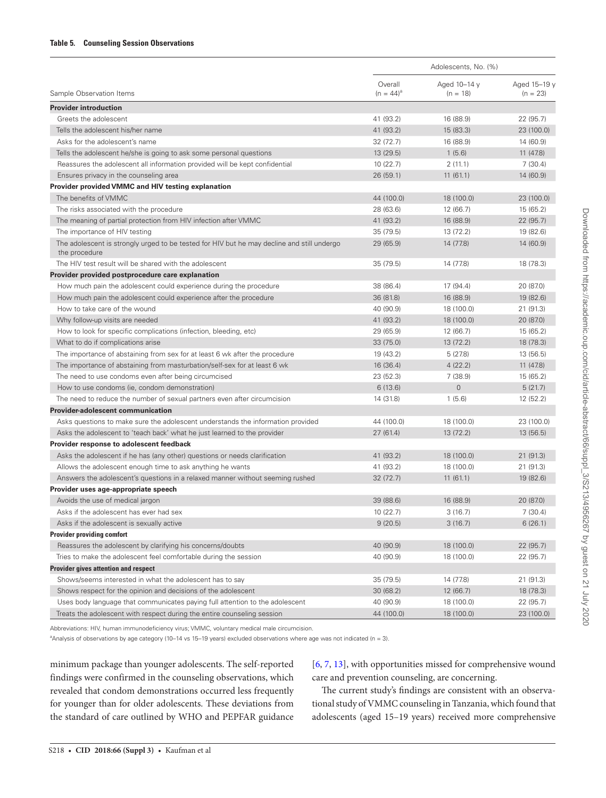|                                                                                                             | Adolescents, No. (%)      |                            |                            |  |
|-------------------------------------------------------------------------------------------------------------|---------------------------|----------------------------|----------------------------|--|
| Sample Observation Items                                                                                    | Overall<br>$(n = 44)^{a}$ | Aged 10-14 y<br>$(n = 18)$ | Aged 15-19 y<br>$(n = 23)$ |  |
| <b>Provider introduction</b>                                                                                |                           |                            |                            |  |
| Greets the adolescent                                                                                       | 41 (93.2)                 | 16 (88.9)                  | 22 (95.7)                  |  |
| Tells the adolescent his/her name                                                                           | 41 (93.2)                 | 15 (83.3)                  | 23 (100.0)                 |  |
| Asks for the adolescent's name                                                                              | 32 (72.7)                 | 16 (88.9)                  | 14 (60.9)                  |  |
| Tells the adolescent he/she is going to ask some personal questions                                         | 13 (29.5)                 | 1(5.6)                     | 11 (47.8)                  |  |
| Reassures the adolescent all information provided will be kept confidential                                 | 10(22.7)                  | 2(11.1)                    | 7(30.4)                    |  |
| Ensures privacy in the counseling area                                                                      | 26(59.1)                  | 11(61.1)                   | 14 (60.9)                  |  |
| Provider provided VMMC and HIV testing explanation                                                          |                           |                            |                            |  |
| The benefits of VMMC                                                                                        | 44 (100.0)                | 18 (100.0)                 | 23 (100.0)                 |  |
| The risks associated with the procedure                                                                     | 28 (63.6)                 | 12 (66.7)                  | 15(65.2)                   |  |
| The meaning of partial protection from HIV infection after VMMC                                             | 41 (93.2)                 | 16 (88.9)                  | 22(95.7)                   |  |
| The importance of HIV testing                                                                               | 35(79.5)                  | 13 (72.2)                  | 19 (82.6)                  |  |
| The adolescent is strongly urged to be tested for HIV but he may decline and still undergo<br>the procedure | 29 (65.9)                 | 14 (77.8)                  | 14 (60.9)                  |  |
| The HIV test result will be shared with the adolescent                                                      | 35(79.5)                  | 14 (77.8)                  | 18 (78.3)                  |  |
| Provider provided postprocedure care explanation                                                            |                           |                            |                            |  |
| How much pain the adolescent could experience during the procedure                                          | 38 (86.4)                 | 17 (94.4)                  | 20 (87.0)                  |  |
| How much pain the adolescent could experience after the procedure                                           | 36 (81.8)                 | 16 (88.9)                  | 19 (82.6)                  |  |
| How to take care of the wound                                                                               | 40 (90.9)                 | 18 (100.0)                 | 21 (91.3)                  |  |
| Why follow-up visits are needed                                                                             | 41 (93.2)                 | 18 (100.0)                 | 20 (87.0)                  |  |
| How to look for specific complications (infection, bleeding, etc)                                           | 29 (65.9)                 | 12 (66.7)                  | 15(65.2)                   |  |
| What to do if complications arise                                                                           | 33 (75.0)                 | 13(72.2)                   | 18 (78.3)                  |  |
| The importance of abstaining from sex for at least 6 wk after the procedure                                 | 19 (43.2)                 | 5(27.8)                    | 13 (56.5)                  |  |
| The importance of abstaining from masturbation/self-sex for at least 6 wk                                   | 16 (36.4)                 | 4(22.2)                    | 11 (47.8)                  |  |
| The need to use condoms even after being circumcised                                                        | 23 (52.3)                 | 7(38.9)                    | 15(65.2)                   |  |
| How to use condoms (ie, condom demonstration)                                                               | 6(13.6)                   | $\overline{0}$             | 5(21.7)                    |  |
| The need to reduce the number of sexual partners even after circumcision                                    | 14 (31.8)                 | 1(5.6)                     | 12(52.2)                   |  |
| <b>Provider-adolescent communication</b>                                                                    |                           |                            |                            |  |
| Asks questions to make sure the adolescent understands the information provided                             | 44 (100.0)                | 18 (100.0)                 | 23 (100.0)                 |  |
| Asks the adolescent to 'teach back' what he just learned to the provider                                    | 27(61.4)                  | 13 (72.2)                  | 13(56.5)                   |  |
| Provider response to adolescent feedback                                                                    |                           |                            |                            |  |
| Asks the adolescent if he has (any other) questions or needs clarification                                  | 41 (93.2)                 | 18 (100.0)                 | 21 (91.3)                  |  |
| Allows the adolescent enough time to ask anything he wants                                                  | 41 (93.2)                 | 18 (100.0)                 | 21 (91.3)                  |  |
| Answers the adolescent's questions in a relaxed manner without seeming rushed                               | 32(72.7)                  | 11(61.1)                   | 19 (82.6)                  |  |
| Provider uses age-appropriate speech                                                                        |                           |                            |                            |  |
| Avoids the use of medical jargon                                                                            | 39 (88.6)                 | 16 (88.9)                  | 20 (87.0)                  |  |
| Asks if the adolescent has ever had sex                                                                     | 10(22.7)                  | 3(16.7)                    | 7(30.4)                    |  |
| Asks if the adolescent is sexually active                                                                   | 9(20.5)                   | 3(16.7)                    | 6(26.1)                    |  |
| <b>Provider providing comfort</b>                                                                           |                           |                            |                            |  |
| Reassures the adolescent by clarifying his concerns/doubts                                                  | 40 (90.9)                 | 18 (100.0)                 | 22 (95.7)                  |  |
| Tries to make the adolescent feel comfortable during the session                                            | 40 (90.9)                 | 18 (100.0)                 | 22 (95.7)                  |  |
| Provider gives attention and respect                                                                        |                           |                            |                            |  |
| Shows/seems interested in what the adolescent has to say                                                    | 35(79.5)                  | 14 (77.8)                  | 21 (91.3)                  |  |
| Shows respect for the opinion and decisions of the adolescent                                               | 30(68.2)                  | 12 (66.7)                  | 18 (78.3)                  |  |
| Uses body language that communicates paying full attention to the adolescent                                | 40 (90.9)                 | 18 (100.0)                 | 22 (95.7)                  |  |
| Treats the adolescent with respect during the entire counseling session                                     | 44 (100.0)                | 18 (100.0)                 | 23 (100.0)                 |  |

Abbreviations: HIV, human immunodeficiency virus; VMMC, voluntary medical male circumcision.

a Analysis of observations by age category (10–14 vs 15–19 years) excluded observations where age was not indicated (n = 3).

minimum package than younger adolescents. The self-reported findings were confirmed in the counseling observations, which revealed that condom demonstrations occurred less frequently for younger than for older adolescents. These deviations from the standard of care outlined by WHO and PEPFAR guidance [6, 7, 13], with opportunities missed for comprehensive wound care and prevention counseling, are concerning.

The current study's findings are consistent with an observational study of VMMC counseling in Tanzania, which found that adolescents (aged 15–19 years) received more comprehensive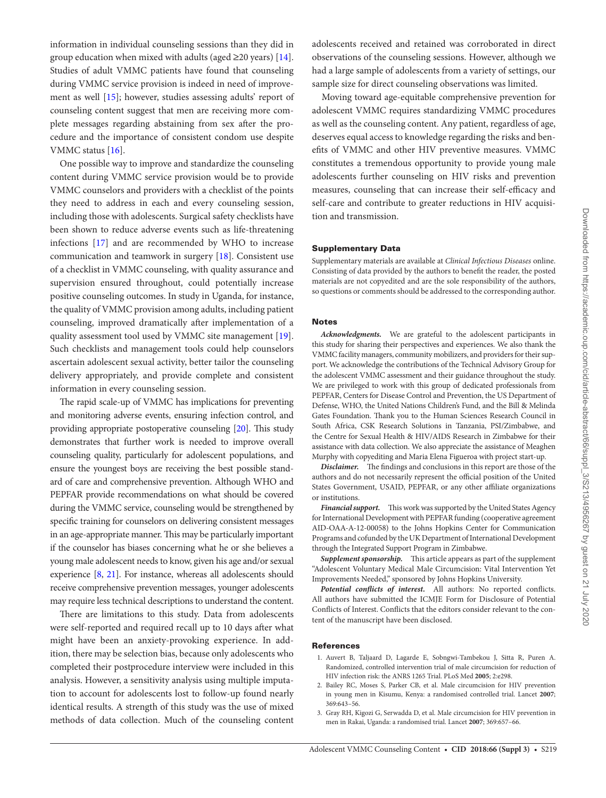information in individual counseling sessions than they did in group education when mixed with adults (aged  $\geq$ 20 years) [14]. Studies of adult VMMC patients have found that counseling during VMMC service provision is indeed in need of improvement as well [15]; however, studies assessing adults' report of counseling content suggest that men are receiving more complete messages regarding abstaining from sex after the procedure and the importance of consistent condom use despite VMMC status [16].

One possible way to improve and standardize the counseling content during VMMC service provision would be to provide VMMC counselors and providers with a checklist of the points they need to address in each and every counseling session, including those with adolescents. Surgical safety checklists have been shown to reduce adverse events such as life-threatening infections [17] and are recommended by WHO to increase communication and teamwork in surgery [18]. Consistent use of a checklist in VMMC counseling, with quality assurance and supervision ensured throughout, could potentially increase positive counseling outcomes. In study in Uganda, for instance, the quality of VMMC provision among adults, including patient counseling, improved dramatically after implementation of a quality assessment tool used by VMMC site management [19]. Such checklists and management tools could help counselors ascertain adolescent sexual activity, better tailor the counseling delivery appropriately, and provide complete and consistent information in every counseling session.

The rapid scale-up of VMMC has implications for preventing and monitoring adverse events, ensuring infection control, and providing appropriate postoperative counseling [20]. This study demonstrates that further work is needed to improve overall counseling quality, particularly for adolescent populations, and ensure the youngest boys are receiving the best possible standard of care and comprehensive prevention. Although WHO and PEPFAR provide recommendations on what should be covered during the VMMC service, counseling would be strengthened by specific training for counselors on delivering consistent messages in an age-appropriate manner. This may be particularly important if the counselor has biases concerning what he or she believes a young male adolescent needs to know, given his age and/or sexual experience [8, 21]. For instance, whereas all adolescents should receive comprehensive prevention messages, younger adolescents may require less technical descriptions to understand the content.

There are limitations to this study. Data from adolescents were self-reported and required recall up to 10 days after what might have been an anxiety-provoking experience. In addition, there may be selection bias, because only adolescents who completed their postprocedure interview were included in this analysis. However, a sensitivity analysis using multiple imputation to account for adolescents lost to follow-up found nearly identical results. A strength of this study was the use of mixed methods of data collection. Much of the counseling content adolescents received and retained was corroborated in direct observations of the counseling sessions. However, although we had a large sample of adolescents from a variety of settings, our sample size for direct counseling observations was limited.

Moving toward age-equitable comprehensive prevention for adolescent VMMC requires standardizing VMMC procedures as well as the counseling content. Any patient, regardless of age, deserves equal access to knowledge regarding the risks and benefits of VMMC and other HIV preventive measures. VMMC constitutes a tremendous opportunity to provide young male adolescents further counseling on HIV risks and prevention measures, counseling that can increase their self-efficacy and self-care and contribute to greater reductions in HIV acquisition and transmission.

## Supplementary Data

Supplementary materials are available at *Clinical Infectious Diseases* online. Consisting of data provided by the authors to benefit the reader, the posted materials are not copyedited and are the sole responsibility of the authors, so questions or comments should be addressed to the corresponding author.

## Notes

*Acknowledgments.* We are grateful to the adolescent participants in this study for sharing their perspectives and experiences. We also thank the VMMC facility managers, community mobilizers, and providers for their support. We acknowledge the contributions of the Technical Advisory Group for the adolescent VMMC assessment and their guidance throughout the study. We are privileged to work with this group of dedicated professionals from PEPFAR, Centers for Disease Control and Prevention, the US Department of Defense, WHO, the United Nations Children's Fund, and the Bill & Melinda Gates Foundation. Thank you to the Human Sciences Research Council in South Africa, CSK Research Solutions in Tanzania, PSI/Zimbabwe, and the Centre for Sexual Health & HIV/AIDS Research in Zimbabwe for their assistance with data collection. We also appreciate the assistance of Meaghen Murphy with copyediting and Maria Elena Figueroa with project start-up.

*Disclaimer.* The findings and conclusions in this report are those of the authors and do not necessarily represent the official position of the United States Government, USAID, PEPFAR, or any other affiliate organizations or institutions.

*Financial support.* This work was supported by the United States Agency for International Development with PEPFAR funding (cooperative agreement AID-OAA-A-12-00058) to the Johns Hopkins Center for Communication Programs and cofunded by the UK Department of International Development through the Integrated Support Program in Zimbabwe.

*Supplement sponsorship.* This article appears as part of the supplement "Adolescent Voluntary Medical Male Circumcision: Vital Intervention Yet Improvements Needed," sponsored by Johns Hopkins University.

*Potential conflicts of interest.* All authors: No reported conflicts. All authors have submitted the ICMJE Form for Disclosure of Potential Conflicts of Interest. Conflicts that the editors consider relevant to the content of the manuscript have been disclosed.

#### References

- 1. Auvert B, Taljaard D, Lagarde E, Sobngwi-Tambekou J, Sitta R, Puren A. Randomized, controlled intervention trial of male circumcision for reduction of HIV infection risk: the ANRS 1265 Trial. PLoS Med **2005**; 2:e298.
- 2. Bailey RC, Moses S, Parker CB, et al. Male circumcision for HIV prevention in young men in Kisumu, Kenya: a randomised controlled trial. Lancet **2007**; 369:643–56.
- 3. Gray RH, Kigozi G, Serwadda D, et al. Male circumcision for HIV prevention in men in Rakai, Uganda: a randomised trial. Lancet **2007**; 369:657–66.